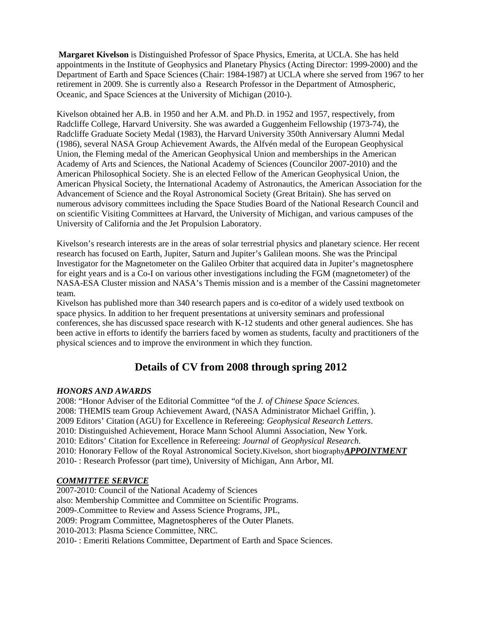**Margaret Kivelson** is Distinguished Professor of Space Physics, Emerita, at UCLA. She has held appointments in the Institute of Geophysics and Planetary Physics (Acting Director: 1999-2000) and the Department of Earth and Space Sciences (Chair: 1984-1987) at UCLA where she served from 1967 to her retirement in 2009. She is currently also a Research Professor in the Department of Atmospheric, Oceanic, and Space Sciences at the University of Michigan (2010-).

Kivelson obtained her A.B. in 1950 and her A.M. and Ph.D. in 1952 and 1957, respectively, from Radcliffe College, Harvard University. She was awarded a Guggenheim Fellowship (1973-74), the Radcliffe Graduate Society Medal (1983), the Harvard University 350th Anniversary Alumni Medal (1986), several NASA Group Achievement Awards, the Alfvén medal of the European Geophysical Union, the Fleming medal of the American Geophysical Union and memberships in the American Academy of Arts and Sciences, the National Academy of Sciences (Councilor 2007-2010) and the American Philosophical Society. She is an elected Fellow of the American Geophysical Union, the American Physical Society, the International Academy of Astronautics, the American Association for the Advancement of Science and the Royal Astronomical Society (Great Britain). She has served on numerous advisory committees including the Space Studies Board of the National Research Council and on scientific Visiting Committees at Harvard, the University of Michigan, and various campuses of the University of California and the Jet Propulsion Laboratory.

Kivelson's research interests are in the areas of solar terrestrial physics and planetary science. Her recent research has focused on Earth, Jupiter, Saturn and Jupiter's Galilean moons. She was the Principal Investigator for the Magnetometer on the Galileo Orbiter that acquired data in Jupiter's magnetosphere for eight years and is a Co-I on various other investigations including the FGM (magnetometer) of the NASA-ESA Cluster mission and NASA's Themis mission and is a member of the Cassini magnetometer team.

Kivelson has published more than 340 research papers and is co-editor of a widely used textbook on space physics. In addition to her frequent presentations at university seminars and professional conferences, she has discussed space research with K-12 students and other general audiences. She has been active in efforts to identify the barriers faced by women as students, faculty and practitioners of the physical sciences and to improve the environment in which they function.

# **Details of CV from 2008 through spring 2012**

## *HONORS AND AWARDS*

2008: "Honor Adviser of the Editorial Committee "of the *J. of Chinese Space Sciences.*  2008: THEMIS team Group Achievement Award, (NASA Administrator Michael Griffin, ). 2009 Editors' Citation (AGU) for Excellence in Refereeing: *Geophysical Research Letters*. 2010: Distinguished Achievement, Horace Mann School Alumni Association, New York. 2010: Editors' Citation for Excellence in Refereeing: *Journal o*f *Geophysical Research.*  2010: Honorary Fellow of the Royal Astronomical Society.Kivelson, short biography *APPOINTMENT*  2010- : Research Professor (part time), University of Michigan, Ann Arbor, MI.

### *COMMITTEE SERVICE*

2007-2010: Council of the National Academy of Sciences also: Membership Committee and Committee on Scientific Programs. 2009-.Committee to Review and Assess Science Programs, JPL, 2009: Program Committee, Magnetospheres of the Outer Planets. 2010-2013: Plasma Science Committee, NRC. 2010- : Emeriti Relations Committee, Department of Earth and Space Sciences.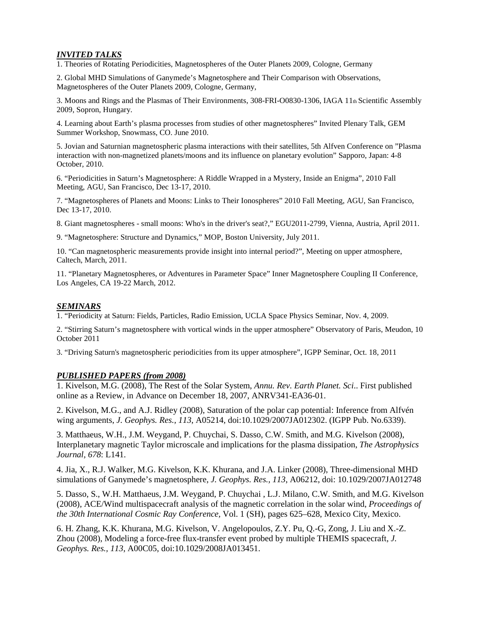## *INVITED TALKS*

1. Theories of Rotating Periodicities, Magnetospheres of the Outer Planets 2009, Cologne, Germany

2. Global MHD Simulations of Ganymede's Magnetosphere and Their Comparison with Observations, Magnetospheres of the Outer Planets 2009, Cologne, Germany,

3. Moons and Rings and the Plasmas of Their Environments, 308-FRI-O0830-1306, IAGA 11th Scientific Assembly 2009, Sopron, Hungary.

4. Learning about Earth's plasma processes from studies of other magnetospheres" Invited Plenary Talk, GEM Summer Workshop, Snowmass, CO. June 2010.

5. Jovian and Saturnian magnetospheric plasma interactions with their satellites, 5th Alfven Conference on "Plasma interaction with non-magnetized planets/moons and its influence on planetary evolution" Sapporo, Japan: 4-8 October, 2010.

6. "Periodicities in Saturn's Magnetosphere: A Riddle Wrapped in a Mystery, Inside an Enigma", 2010 Fall Meeting, AGU, San Francisco, Dec 13-17, 2010.

7. "Magnetospheres of Planets and Moons: Links to Their Ionospheres" 2010 Fall Meeting, AGU, San Francisco, Dec 13-17, 2010.

8. Giant magnetospheres - small moons: Who's in the driver's seat?," EGU2011-2799, Vienna, Austria, April 2011.

9. "Magnetosphere: Structure and Dynamics," MOP, Boston University, July 2011.

10. "Can magnetospheric measurements provide insight into internal period?", Meeting on upper atmosphere, Caltech, March, 2011.

11. "Planetary Magnetospheres, or Adventures in Parameter Space" Inner Magnetosphere Coupling II Conference, Los Angeles, CA 19-22 March, 2012.

#### *SEMINARS*

1. "Periodicity at Saturn: Fields, Particles, Radio Emission, UCLA Space Physics Seminar, Nov. 4, 2009.

2. "Stirring Saturn's magnetosphere with vortical winds in the upper atmosphere" Observatory of Paris, Meudon, 10 October 2011

3. "Driving Saturn's magnetospheric periodicities from its upper atmosphere", IGPP Seminar, Oct. 18, 2011

#### *PUBLISHED PAPERS (from 2008)*

1. Kivelson, M.G. (2008), The Rest of the Solar System, *Annu. Rev. Earth Planet. Sci*.. First published online as a Review, in Advance on December 18, 2007, ANRV341-EA36-01.

2. Kivelson, M.G., and A.J. Ridley (2008), Saturation of the polar cap potential: Inference from Alfvén wing arguments, *J. Geophys. Res., 113*, A05214, doi:10.1029/2007JA012302. (IGPP Pub. No.6339).

3. Matthaeus, W.H., J.M. Weygand, P. Chuychai, S. Dasso, C.W. Smith, and M.G. Kivelson (2008), Interplanetary magnetic Taylor microscale and implications for the plasma dissipation, *The Astrophysics Journal, 678*: L141.

4. Jia, X., R.J. Walker, M.G. Kivelson, K.K. Khurana, and J.A. Linker (2008), Three-dimensional MHD simulations of Ganymede's magnetosphere, *J. Geophys. Res., 113*, A06212, doi: 10.1029/2007JA012748

5. Dasso, S., W.H. Matthaeus, J.M. Weygand, P. Chuychai , L.J. Milano, C.W. Smith, and M.G. Kivelson (2008), ACE/Wind multispacecraft analysis of the magnetic correlation in the solar wind, *Proceedings of the 30th International Cosmic Ray Conference,* Vol. 1 (SH), pages 625–628, Mexico City, Mexico.

6. H. Zhang, K.K. Khurana, M.G. Kivelson, V. Angelopoulos, Z.Y. Pu, Q.-G, Zong, J. Liu and X.-Z. Zhou (2008), Modeling a force-free flux-transfer event probed by multiple THEMIS spacecraft, *J. Geophys. Res., 113*, A00C05, doi:10.1029/2008JA013451.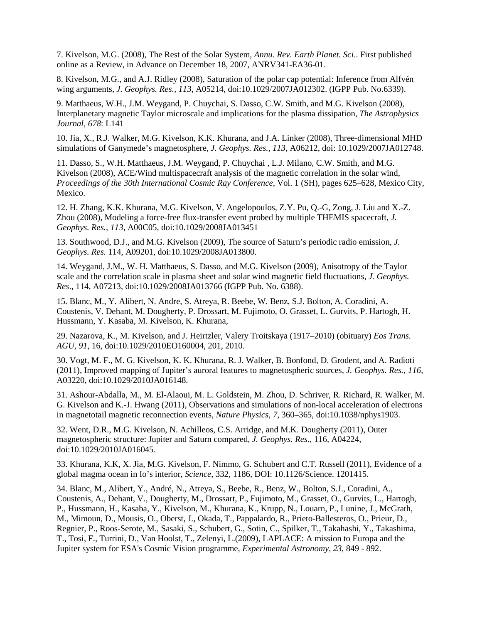7. Kivelson, M.G. (2008), The Rest of the Solar System, *Annu. Rev. Earth Planet. Sci*.. First published online as a Review, in Advance on December 18, 2007, ANRV341-EA36-01.

8. Kivelson, M.G., and A.J. Ridley (2008), Saturation of the polar cap potential: Inference from Alfvén wing arguments, *J. Geophys. Res., 113*, A05214, doi:10.1029/2007JA012302. (IGPP Pub. No.6339).

9. Matthaeus, W.H., J.M. Weygand, P. Chuychai, S. Dasso, C.W. Smith, and M.G. Kivelson (2008), Interplanetary magnetic Taylor microscale and implications for the plasma dissipation, *The Astrophysics Journal, 678*: L141

10. Jia, X., R.J. Walker, M.G. Kivelson, K.K. Khurana, and J.A. Linker (2008), Three-dimensional MHD simulations of Ganymede's magnetosphere, *J. Geophys. Res., 113*, A06212, doi: 10.1029/2007JA012748.

11. Dasso, S., W.H. Matthaeus, J.M. Weygand, P. Chuychai , L.J. Milano, C.W. Smith, and M.G. Kivelson (2008), ACE/Wind multispacecraft analysis of the magnetic correlation in the solar wind, *Proceedings of the 30th International Cosmic Ray Conference,* Vol. 1 (SH), pages 625–628, Mexico City, Mexico.

12. H. Zhang, K.K. Khurana, M.G. Kivelson, V. Angelopoulos, Z.Y. Pu, Q.-G, Zong, J. Liu and X.-Z. Zhou (2008), Modeling a force-free flux-transfer event probed by multiple THEMIS spacecraft, *J. Geophys. Res., 113*, A00C05, doi:10.1029/2008JA013451

13. Southwood, D.J., and M.G. Kivelson (2009), The source of Saturn's periodic radio emission, *J. Geophys. Res.* 114, A09201, doi:10.1029/2008JA013800.

14. Weygand, J.M., W. H. Matthaeus, S. Dasso, and M.G. Kivelson (2009), Anisotropy of the Taylor scale and the correlation scale in plasma sheet and solar wind magnetic field fluctuations*, J. Geophys. Res*., 114, A07213, doi:10.1029/2008JA013766 (IGPP Pub. No. 6388).

15. Blanc, M., Y. Alibert, N. Andre, S. Atreya, R. Beebe, W. Benz, S.J. Bolton, A. Coradini, A. Coustenis, V. Dehant, M. Dougherty, P. Drossart, M. Fujimoto, O. Grasset, L. Gurvits, P. Hartogh, H. Hussmann, Y. Kasaba, M. Kivelson, K. Khurana,

29. Nazarova, K., M. Kivelson, and J. Heirtzler, Valery Troitskaya (1917–2010) (obituary) *Eos Trans. AGU, 91*, 16, doi:10.1029/2010EO160004, 201, 2010.

30. Vogt, M. F., M. G. Kivelson, K. K. Khurana, R. J. Walker, B. Bonfond, D. Grodent, and A. Radioti (2011), Improved mapping of Jupiter's auroral features to magnetospheric sources, *J. Geophys. Res., 116*, A03220, doi:10.1029/2010JA016148.

31. Ashour-Abdalla, M., M. El-Alaoui, M. L. Goldstein, M. Zhou, D. Schriver, R. Richard, R. Walker, M. G. Kivelson and K.-J. Hwang (2011), Observations and simulations of non-local acceleration of electrons in magnetotail magnetic reconnection events, *Nature Physics, 7*, 360–365, doi:10.1038/nphys1903.

32. Went, D.R., M.G. Kivelson, N. Achilleos, C.S. Arridge, and M.K. Dougherty (2011), Outer magnetospheric structure: Jupiter and Saturn compared, *J. Geophys. Res.,* 116, A04224, doi:10.1029/2010JA016045.

33. Khurana, K.K, X. Jia, M.G. Kivelson, F. Nimmo, G. Schubert and C.T. Russell (2011), Evidence of a global magma ocean in Io's interior, *Science*, 332, 1186, DOI: 10.1126/Science. 1201415.

34. Blanc, M., Alibert, Y., André, N., Atreya, S., Beebe, R., Benz, W., Bolton, S.J., Coradini, A., Coustenis, A., Dehant, V., Dougherty, M., Drossart, P., Fujimoto, M., Grasset, O., Gurvits, L., Hartogh, P., Hussmann, H., Kasaba, Y., Kivelson, M., Khurana, K., Krupp, N., Louarn, P., Lunine, J., McGrath, M., Mimoun, D., Mousis, O., Oberst, J., Okada, T., Pappalardo, R., Prieto-Ballesteros, O., Prieur, D., Regnier, P., Roos-Serote, M., Sasaki, S., Schubert, G., Sotin, C., Spilker, T., Takahashi, Y., Takashima, T., Tosi, F., Turrini, D., Van Hoolst, T., Zelenyi, L.(2009), LAPLACE: A mission to Europa and the Jupiter system for ESA's Cosmic Vision programme, *Experimental Astronomy, 23,* 849 - 892.